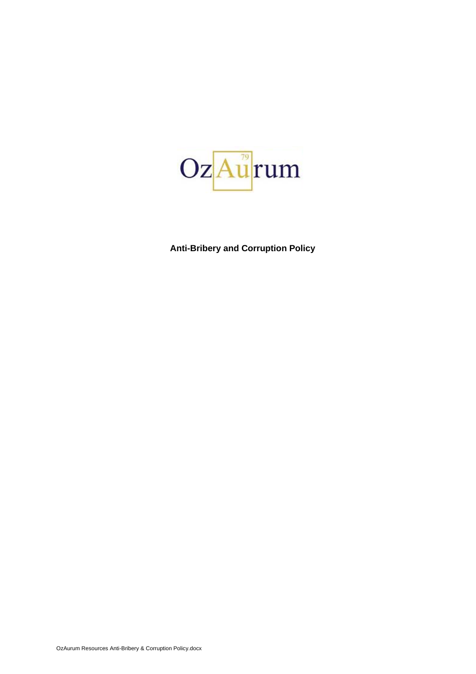

**Anti-Bribery and Corruption Policy**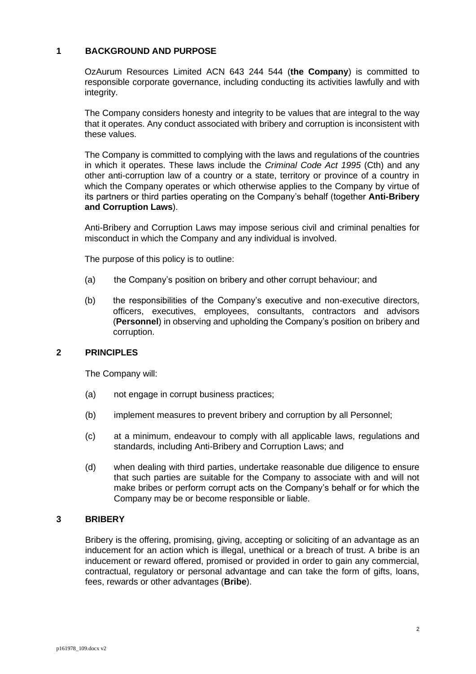## **1 BACKGROUND AND PURPOSE**

OzAurum Resources Limited ACN 643 244 544 (**the Company**) is committed to responsible corporate governance, including conducting its activities lawfully and with integrity.

The Company considers honesty and integrity to be values that are integral to the way that it operates. Any conduct associated with bribery and corruption is inconsistent with these values.

The Company is committed to complying with the laws and regulations of the countries in which it operates. These laws include the *Criminal Code Act 1995* (Cth) and any other anti-corruption law of a country or a state, territory or province of a country in which the Company operates or which otherwise applies to the Company by virtue of its partners or third parties operating on the Company's behalf (together **Anti-Bribery and Corruption Laws**).

Anti-Bribery and Corruption Laws may impose serious civil and criminal penalties for misconduct in which the Company and any individual is involved.

The purpose of this policy is to outline:

- (a) the Company's position on bribery and other corrupt behaviour; and
- (b) the responsibilities of the Company's executive and non-executive directors, officers, executives, employees, consultants, contractors and advisors (**Personnel**) in observing and upholding the Company's position on bribery and corruption.

## **2 PRINCIPLES**

The Company will:

- (a) not engage in corrupt business practices;
- (b) implement measures to prevent bribery and corruption by all Personnel;
- (c) at a minimum, endeavour to comply with all applicable laws, regulations and standards, including Anti-Bribery and Corruption Laws; and
- (d) when dealing with third parties, undertake reasonable due diligence to ensure that such parties are suitable for the Company to associate with and will not make bribes or perform corrupt acts on the Company's behalf or for which the Company may be or become responsible or liable.

## **3 BRIBERY**

Bribery is the offering, promising, giving, accepting or soliciting of an advantage as an inducement for an action which is illegal, unethical or a breach of trust. A bribe is an inducement or reward offered, promised or provided in order to gain any commercial, contractual, regulatory or personal advantage and can take the form of gifts, loans, fees, rewards or other advantages (**Bribe**).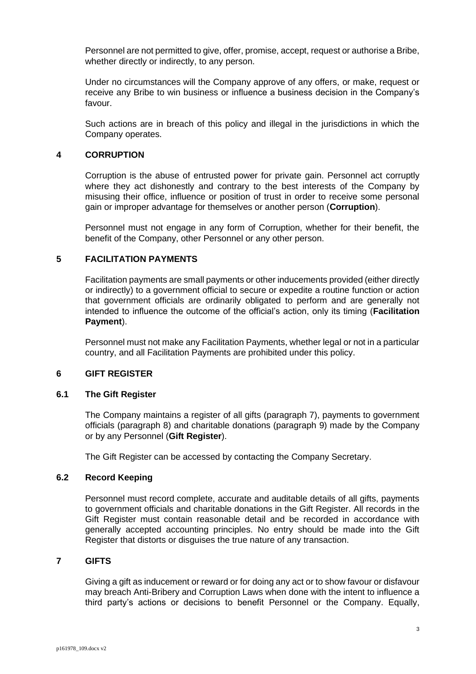Personnel are not permitted to give, offer, promise, accept, request or authorise a Bribe, whether directly or indirectly, to any person.

Under no circumstances will the Company approve of any offers, or make, request or receive any Bribe to win business or influence a business decision in the Company's favour.

Such actions are in breach of this policy and illegal in the jurisdictions in which the Company operates.

## **4 CORRUPTION**

Corruption is the abuse of entrusted power for private gain. Personnel act corruptly where they act dishonestly and contrary to the best interests of the Company by misusing their office, influence or position of trust in order to receive some personal gain or improper advantage for themselves or another person (**Corruption**).

Personnel must not engage in any form of Corruption, whether for their benefit, the benefit of the Company, other Personnel or any other person.

## **5 FACILITATION PAYMENTS**

Facilitation payments are small payments or other inducements provided (either directly or indirectly) to a government official to secure or expedite a routine function or action that government officials are ordinarily obligated to perform and are generally not intended to influence the outcome of the official's action, only its timing (**Facilitation Payment**).

Personnel must not make any Facilitation Payments, whether legal or not in a particular country, and all Facilitation Payments are prohibited under this policy.

#### **6 GIFT REGISTER**

#### **6.1 The Gift Register**

The Company maintains a register of all gifts (paragraph [7\)](#page-2-0), payments to government officials (paragraph [8\)](#page-4-0) and charitable donations (paragraph [9\)](#page-5-0) made by the Company or by any Personnel (**Gift Register**).

The Gift Register can be accessed by contacting the Company Secretary.

## **6.2 Record Keeping**

Personnel must record complete, accurate and auditable details of all gifts, payments to government officials and charitable donations in the Gift Register. All records in the Gift Register must contain reasonable detail and be recorded in accordance with generally accepted accounting principles. No entry should be made into the Gift Register that distorts or disguises the true nature of any transaction.

### <span id="page-2-0"></span>**7 GIFTS**

Giving a gift as inducement or reward or for doing any act or to show favour or disfavour may breach Anti-Bribery and Corruption Laws when done with the intent to influence a third party's actions or decisions to benefit Personnel or the Company. Equally,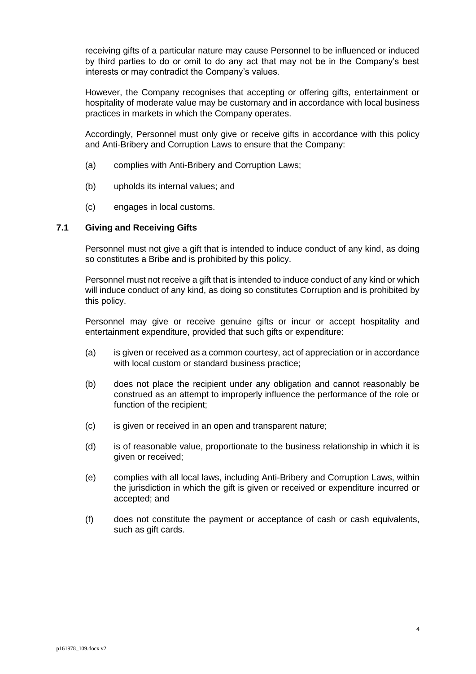receiving gifts of a particular nature may cause Personnel to be influenced or induced by third parties to do or omit to do any act that may not be in the Company's best interests or may contradict the Company's values.

However, the Company recognises that accepting or offering gifts, entertainment or hospitality of moderate value may be customary and in accordance with local business practices in markets in which the Company operates.

Accordingly, Personnel must only give or receive gifts in accordance with this policy and Anti-Bribery and Corruption Laws to ensure that the Company:

- (a) complies with Anti-Bribery and Corruption Laws;
- (b) upholds its internal values; and
- (c) engages in local customs.

### <span id="page-3-0"></span>**7.1 Giving and Receiving Gifts**

Personnel must not give a gift that is intended to induce conduct of any kind, as doing so constitutes a Bribe and is prohibited by this policy.

Personnel must not receive a gift that is intended to induce conduct of any kind or which will induce conduct of any kind, as doing so constitutes Corruption and is prohibited by this policy.

Personnel may give or receive genuine gifts or incur or accept hospitality and entertainment expenditure, provided that such gifts or expenditure:

- (a) is given or received as a common courtesy, act of appreciation or in accordance with local custom or standard business practice;
- (b) does not place the recipient under any obligation and cannot reasonably be construed as an attempt to improperly influence the performance of the role or function of the recipient;
- (c) is given or received in an open and transparent nature;
- (d) is of reasonable value, proportionate to the business relationship in which it is given or received;
- (e) complies with all local laws, including Anti-Bribery and Corruption Laws, within the jurisdiction in which the gift is given or received or expenditure incurred or accepted; and
- (f) does not constitute the payment or acceptance of cash or cash equivalents, such as gift cards.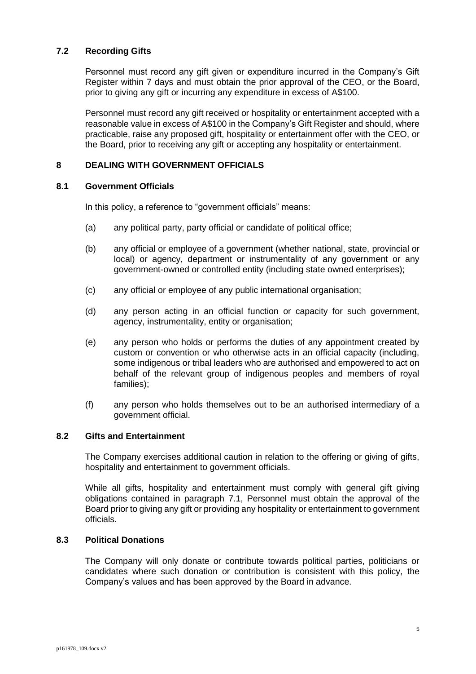## **7.2 Recording Gifts**

Personnel must record any gift given or expenditure incurred in the Company's Gift Register within 7 days and must obtain the prior approval of the CEO, or the Board, prior to giving any gift or incurring any expenditure in excess of A\$100.

Personnel must record any gift received or hospitality or entertainment accepted with a reasonable value in excess of A\$100 in the Company's Gift Register and should, where practicable, raise any proposed gift, hospitality or entertainment offer with the CEO, or the Board, prior to receiving any gift or accepting any hospitality or entertainment.

## <span id="page-4-0"></span>**8 DEALING WITH GOVERNMENT OFFICIALS**

#### **8.1 Government Officials**

In this policy, a reference to "government officials" means:

- (a) any political party, party official or candidate of political office;
- (b) any official or employee of a government (whether national, state, provincial or local) or agency, department or instrumentality of any government or any government-owned or controlled entity (including state owned enterprises);
- (c) any official or employee of any public international organisation;
- (d) any person acting in an official function or capacity for such government, agency, instrumentality, entity or organisation;
- (e) any person who holds or performs the duties of any appointment created by custom or convention or who otherwise acts in an official capacity (including, some indigenous or tribal leaders who are authorised and empowered to act on behalf of the relevant group of indigenous peoples and members of royal families);
- (f) any person who holds themselves out to be an authorised intermediary of a government official.

#### **8.2 Gifts and Entertainment**

The Company exercises additional caution in relation to the offering or giving of gifts, hospitality and entertainment to government officials.

While all gifts, hospitality and entertainment must comply with general gift giving obligations contained in paragraph [7.1,](#page-3-0) Personnel must obtain the approval of the Board prior to giving any gift or providing any hospitality or entertainment to government officials.

## **8.3 Political Donations**

The Company will only donate or contribute towards political parties, politicians or candidates where such donation or contribution is consistent with this policy, the Company's values and has been approved by the Board in advance.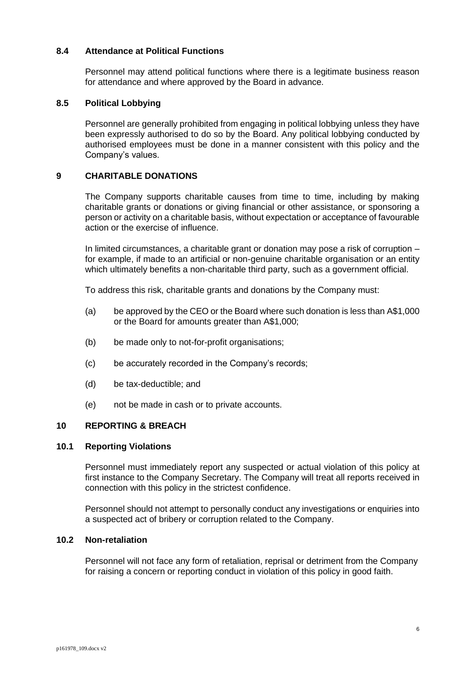### **8.4 Attendance at Political Functions**

Personnel may attend political functions where there is a legitimate business reason for attendance and where approved by the Board in advance.

# **8.5 Political Lobbying**

Personnel are generally prohibited from engaging in political lobbying unless they have been expressly authorised to do so by the Board. Any political lobbying conducted by authorised employees must be done in a manner consistent with this policy and the Company's values.

## <span id="page-5-0"></span>**9 CHARITABLE DONATIONS**

The Company supports charitable causes from time to time, including by making charitable grants or donations or giving financial or other assistance, or sponsoring a person or activity on a charitable basis, without expectation or acceptance of favourable action or the exercise of influence.

In limited circumstances, a charitable grant or donation may pose a risk of corruption – for example, if made to an artificial or non-genuine charitable organisation or an entity which ultimately benefits a non-charitable third party, such as a government official.

To address this risk, charitable grants and donations by the Company must:

- (a) be approved by the CEO or the Board where such donation is less than A\$1,000 or the Board for amounts greater than A\$1,000;
- (b) be made only to not-for-profit organisations;
- (c) be accurately recorded in the Company's records;
- (d) be tax-deductible; and
- (e) not be made in cash or to private accounts.

## **10 REPORTING & BREACH**

## **10.1 Reporting Violations**

Personnel must immediately report any suspected or actual violation of this policy at first instance to the Company Secretary. The Company will treat all reports received in connection with this policy in the strictest confidence.

Personnel should not attempt to personally conduct any investigations or enquiries into a suspected act of bribery or corruption related to the Company.

## **10.2 Non-retaliation**

Personnel will not face any form of retaliation, reprisal or detriment from the Company for raising a concern or reporting conduct in violation of this policy in good faith.